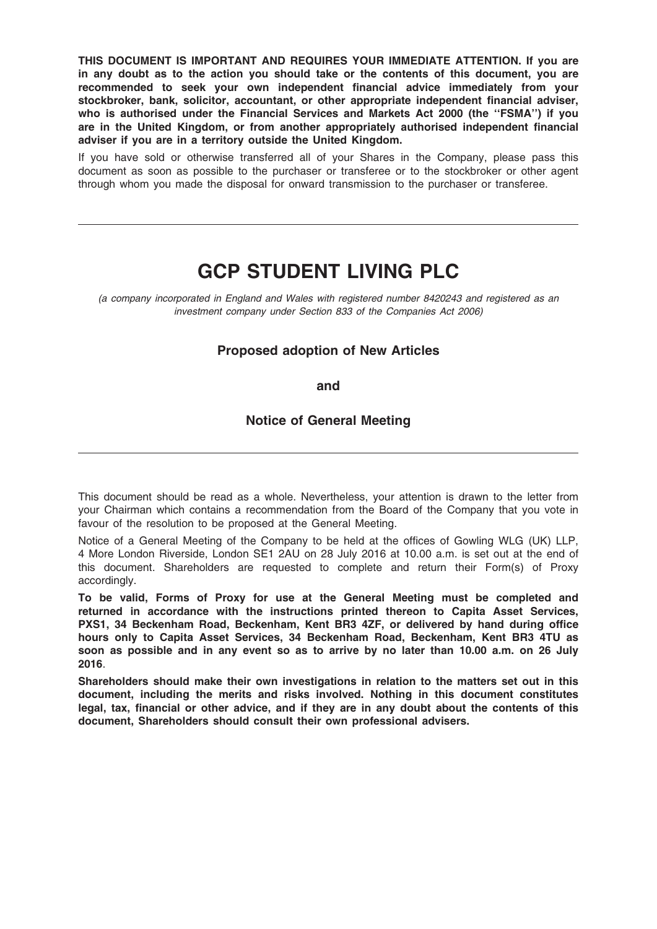THIS DOCUMENT IS IMPORTANT AND REQUIRES YOUR IMMEDIATE ATTENTION. If you are in any doubt as to the action you should take or the contents of this document, you are recommended to seek your own independent financial advice immediately from your stockbroker, bank, solicitor, accountant, or other appropriate independent financial adviser, who is authorised under the Financial Services and Markets Act 2000 (the "FSMA") if you are in the United Kingdom, or from another appropriately authorised independent financial adviser if you are in a territory outside the United Kingdom.

If you have sold or otherwise transferred all of your Shares in the Company, please pass this document as soon as possible to the purchaser or transferee or to the stockbroker or other agent through whom you made the disposal for onward transmission to the purchaser or transferee.

# GCP STUDENT LIVING PLC

(a company incorporated in England and Wales with registered number 8420243 and registered as an investment company under Section 833 of the Companies Act 2006)

## Proposed adoption of New Articles

and

## Notice of General Meeting

This document should be read as a whole. Nevertheless, your attention is drawn to the letter from your Chairman which contains a recommendation from the Board of the Company that you vote in favour of the resolution to be proposed at the General Meeting.

Notice of a General Meeting of the Company to be held at the offices of Gowling WLG (UK) LLP, 4 More London Riverside, London SE1 2AU on 28 July 2016 at 10.00 a.m. is set out at the end of this document. Shareholders are requested to complete and return their Form(s) of Proxy accordingly.

To be valid, Forms of Proxy for use at the General Meeting must be completed and returned in accordance with the instructions printed thereon to Capita Asset Services, PXS1, 34 Beckenham Road, Beckenham, Kent BR3 4ZF, or delivered by hand during office hours only to Capita Asset Services, 34 Beckenham Road, Beckenham, Kent BR3 4TU as soon as possible and in any event so as to arrive by no later than 10.00 a.m. on 26 July 2016.

Shareholders should make their own investigations in relation to the matters set out in this document, including the merits and risks involved. Nothing in this document constitutes legal, tax, financial or other advice, and if they are in any doubt about the contents of this document, Shareholders should consult their own professional advisers.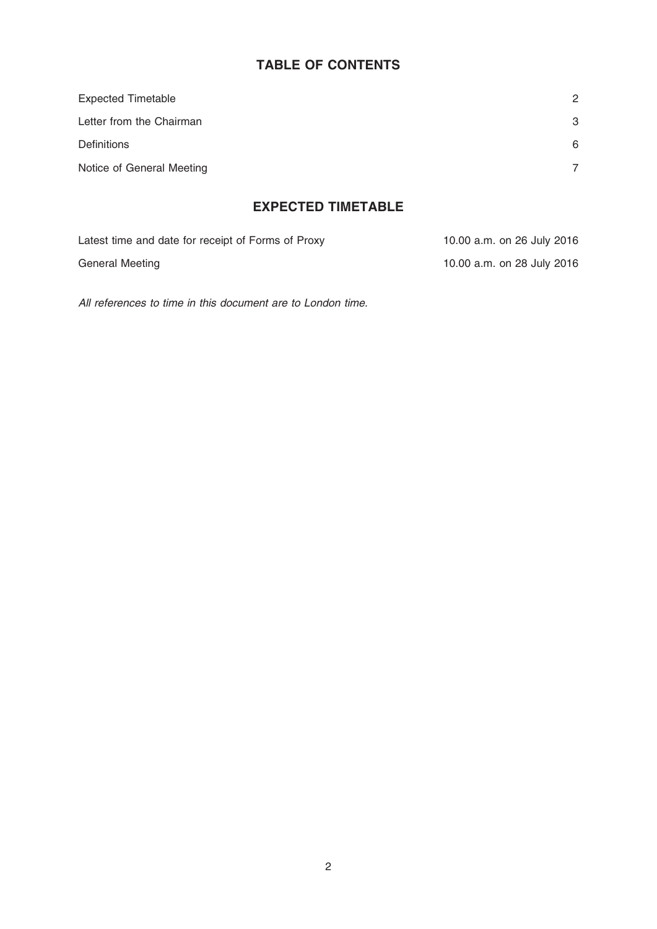## TABLE OF CONTENTS

| <b>Expected Timetable</b> | 2  |
|---------------------------|----|
| Letter from the Chairman  | -3 |
| <b>Definitions</b>        | 6  |
| Notice of General Meeting |    |

## EXPECTED TIMETABLE

| Latest time and date for receipt of Forms of Proxy | 10.00 a.m. on 26 July 2016 |
|----------------------------------------------------|----------------------------|
| General Meeting                                    | 10.00 a.m. on 28 July 2016 |

All references to time in this document are to London time.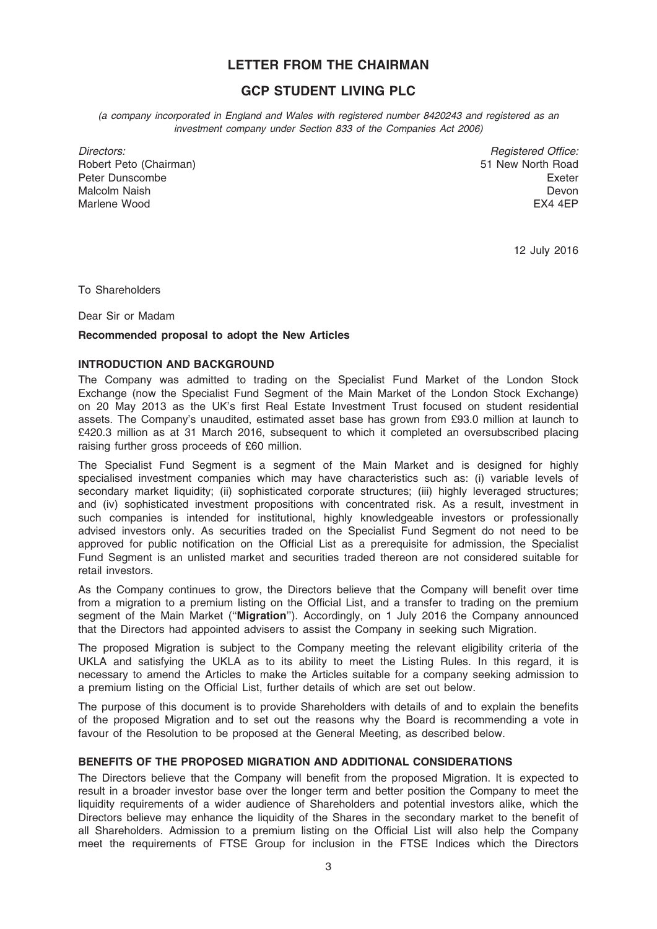## LETTER FROM THE CHAIRMAN

## GCP STUDENT LIVING PLC

(a company incorporated in England and Wales with registered number 8420243 and registered as an investment company under Section 833 of the Companies Act 2006)

Directors: Robert Peto (Chairman) Peter Dunscombe Malcolm Naish Marlene Wood

Registered Office: 51 New North Road Exeter Devon EX4 4EP

12 July 2016

To Shareholders

Dear Sir or Madam

#### Recommended proposal to adopt the New Articles

#### INTRODUCTION AND BACKGROUND

The Company was admitted to trading on the Specialist Fund Market of the London Stock Exchange (now the Specialist Fund Segment of the Main Market of the London Stock Exchange) on 20 May 2013 as the UK's first Real Estate Investment Trust focused on student residential assets. The Company's unaudited, estimated asset base has grown from £93.0 million at launch to £420.3 million as at 31 March 2016, subsequent to which it completed an oversubscribed placing raising further gross proceeds of £60 million.

The Specialist Fund Segment is a segment of the Main Market and is designed for highly specialised investment companies which may have characteristics such as: (i) variable levels of secondary market liquidity; (ii) sophisticated corporate structures; (iii) highly leveraged structures; and (iv) sophisticated investment propositions with concentrated risk. As a result, investment in such companies is intended for institutional, highly knowledgeable investors or professionally advised investors only. As securities traded on the Specialist Fund Segment do not need to be approved for public notification on the Official List as a prerequisite for admission, the Specialist Fund Segment is an unlisted market and securities traded thereon are not considered suitable for retail investors.

As the Company continues to grow, the Directors believe that the Company will benefit over time from a migration to a premium listing on the Official List, and a transfer to trading on the premium segment of the Main Market ("Migration"). Accordingly, on 1 July 2016 the Company announced that the Directors had appointed advisers to assist the Company in seeking such Migration.

The proposed Migration is subject to the Company meeting the relevant eligibility criteria of the UKLA and satisfying the UKLA as to its ability to meet the Listing Rules. In this regard, it is necessary to amend the Articles to make the Articles suitable for a company seeking admission to a premium listing on the Official List, further details of which are set out below.

The purpose of this document is to provide Shareholders with details of and to explain the benefits of the proposed Migration and to set out the reasons why the Board is recommending a vote in favour of the Resolution to be proposed at the General Meeting, as described below.

#### BENEFITS OF THE PROPOSED MIGRATION AND ADDITIONAL CONSIDERATIONS

The Directors believe that the Company will benefit from the proposed Migration. It is expected to result in a broader investor base over the longer term and better position the Company to meet the liquidity requirements of a wider audience of Shareholders and potential investors alike, which the Directors believe may enhance the liquidity of the Shares in the secondary market to the benefit of all Shareholders. Admission to a premium listing on the Official List will also help the Company meet the requirements of FTSE Group for inclusion in the FTSE Indices which the Directors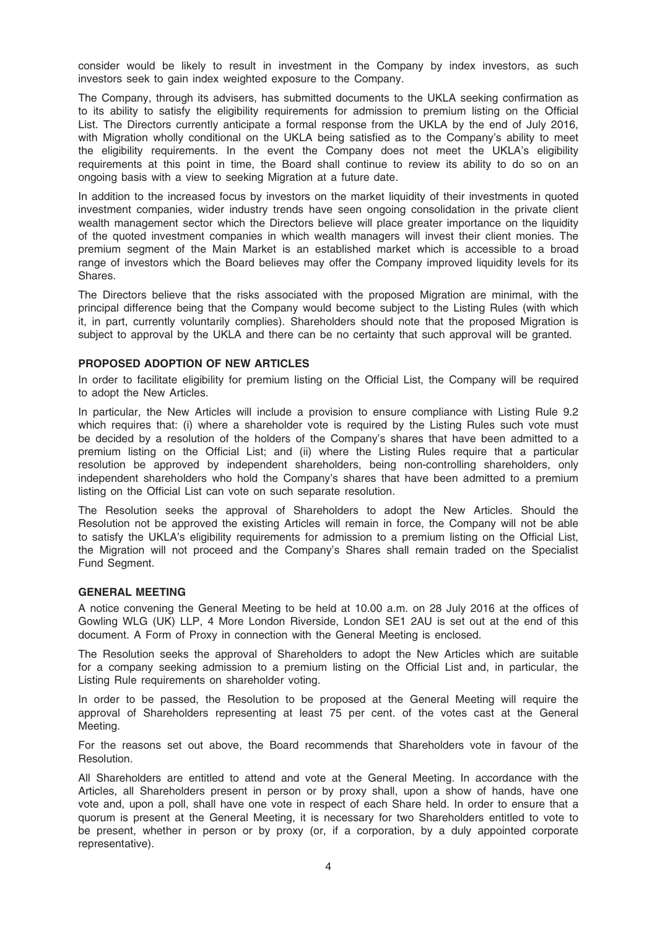consider would be likely to result in investment in the Company by index investors, as such investors seek to gain index weighted exposure to the Company.

The Company, through its advisers, has submitted documents to the UKLA seeking confirmation as to its ability to satisfy the eligibility requirements for admission to premium listing on the Official List. The Directors currently anticipate a formal response from the UKLA by the end of July 2016, with Migration wholly conditional on the UKLA being satisfied as to the Company's ability to meet the eligibility requirements. In the event the Company does not meet the UKLA's eligibility requirements at this point in time, the Board shall continue to review its ability to do so on an ongoing basis with a view to seeking Migration at a future date.

In addition to the increased focus by investors on the market liquidity of their investments in quoted investment companies, wider industry trends have seen ongoing consolidation in the private client wealth management sector which the Directors believe will place greater importance on the liquidity of the quoted investment companies in which wealth managers will invest their client monies. The premium segment of the Main Market is an established market which is accessible to a broad range of investors which the Board believes may offer the Company improved liquidity levels for its Shares.

The Directors believe that the risks associated with the proposed Migration are minimal, with the principal difference being that the Company would become subject to the Listing Rules (with which it, in part, currently voluntarily complies). Shareholders should note that the proposed Migration is subject to approval by the UKLA and there can be no certainty that such approval will be granted.

#### PROPOSED ADOPTION OF NEW ARTICLES

In order to facilitate eligibility for premium listing on the Official List, the Company will be required to adopt the New Articles.

In particular, the New Articles will include a provision to ensure compliance with Listing Rule 9.2 which requires that: (i) where a shareholder vote is required by the Listing Rules such vote must be decided by a resolution of the holders of the Company's shares that have been admitted to a premium listing on the Official List; and (ii) where the Listing Rules require that a particular resolution be approved by independent shareholders, being non-controlling shareholders, only independent shareholders who hold the Company's shares that have been admitted to a premium listing on the Official List can vote on such separate resolution.

The Resolution seeks the approval of Shareholders to adopt the New Articles. Should the Resolution not be approved the existing Articles will remain in force, the Company will not be able to satisfy the UKLA's eligibility requirements for admission to a premium listing on the Official List, the Migration will not proceed and the Company's Shares shall remain traded on the Specialist Fund Segment.

#### GENERAL MEETING

A notice convening the General Meeting to be held at 10.00 a.m. on 28 July 2016 at the offices of Gowling WLG (UK) LLP, 4 More London Riverside, London SE1 2AU is set out at the end of this document. A Form of Proxy in connection with the General Meeting is enclosed.

The Resolution seeks the approval of Shareholders to adopt the New Articles which are suitable for a company seeking admission to a premium listing on the Official List and, in particular, the Listing Rule requirements on shareholder voting.

In order to be passed, the Resolution to be proposed at the General Meeting will require the approval of Shareholders representing at least 75 per cent. of the votes cast at the General Meeting.

For the reasons set out above, the Board recommends that Shareholders vote in favour of the **Resolution** 

All Shareholders are entitled to attend and vote at the General Meeting. In accordance with the Articles, all Shareholders present in person or by proxy shall, upon a show of hands, have one vote and, upon a poll, shall have one vote in respect of each Share held. In order to ensure that a quorum is present at the General Meeting, it is necessary for two Shareholders entitled to vote to be present, whether in person or by proxy (or, if a corporation, by a duly appointed corporate representative).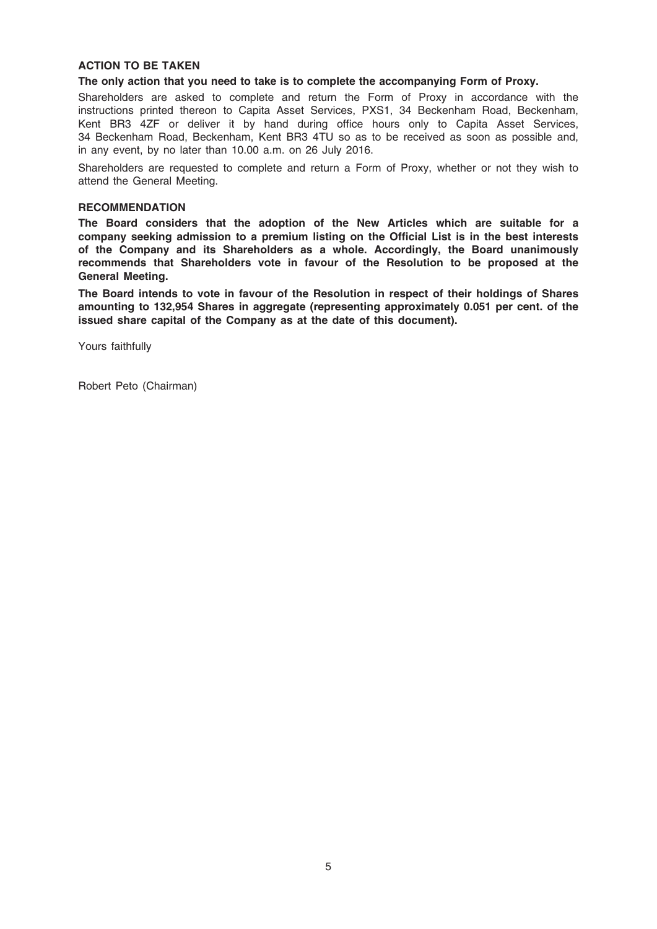#### ACTION TO BE TAKEN

The only action that you need to take is to complete the accompanying Form of Proxy.

Shareholders are asked to complete and return the Form of Proxy in accordance with the instructions printed thereon to Capita Asset Services, PXS1, 34 Beckenham Road, Beckenham, Kent BR3 4ZF or deliver it by hand during office hours only to Capita Asset Services, 34 Beckenham Road, Beckenham, Kent BR3 4TU so as to be received as soon as possible and, in any event, by no later than 10.00 a.m. on 26 July 2016.

Shareholders are requested to complete and return a Form of Proxy, whether or not they wish to attend the General Meeting.

#### **RECOMMENDATION**

The Board considers that the adoption of the New Articles which are suitable for a company seeking admission to a premium listing on the Official List is in the best interests of the Company and its Shareholders as a whole. Accordingly, the Board unanimously recommends that Shareholders vote in favour of the Resolution to be proposed at the General Meeting.

The Board intends to vote in favour of the Resolution in respect of their holdings of Shares amounting to 132,954 Shares in aggregate (representing approximately 0.051 per cent. of the issued share capital of the Company as at the date of this document).

Yours faithfully

Robert Peto (Chairman)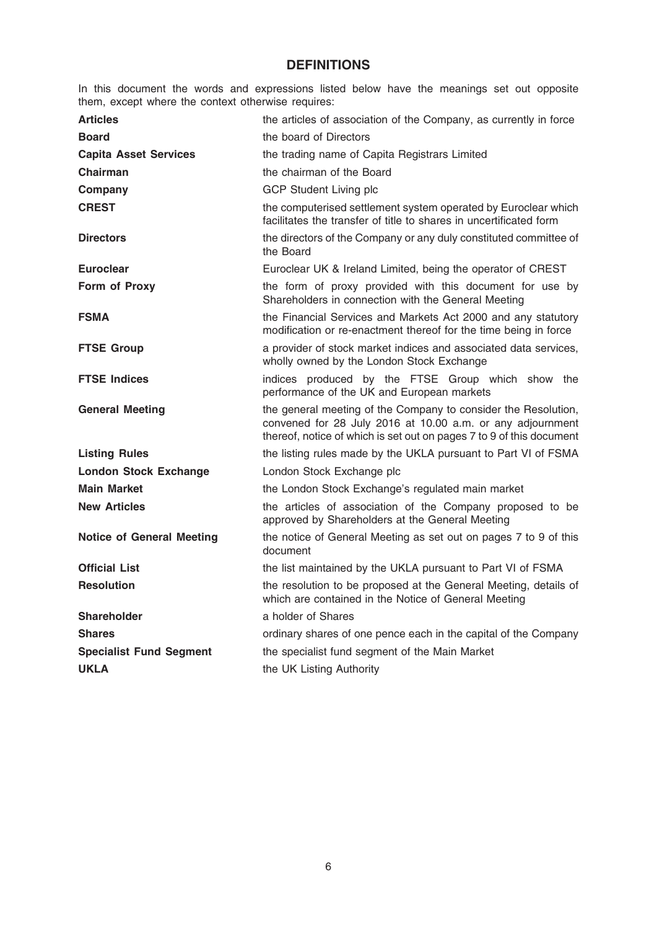## **DEFINITIONS**

In this document the words and expressions listed below have the meanings set out opposite them, except where the context otherwise requires:

| <b>Articles</b>                  | the articles of association of the Company, as currently in force                                                                                                                                    |
|----------------------------------|------------------------------------------------------------------------------------------------------------------------------------------------------------------------------------------------------|
| <b>Board</b>                     | the board of Directors                                                                                                                                                                               |
| <b>Capita Asset Services</b>     | the trading name of Capita Registrars Limited                                                                                                                                                        |
| Chairman                         | the chairman of the Board                                                                                                                                                                            |
| Company                          | <b>GCP Student Living plc</b>                                                                                                                                                                        |
| <b>CREST</b>                     | the computerised settlement system operated by Euroclear which<br>facilitates the transfer of title to shares in uncertificated form                                                                 |
| <b>Directors</b>                 | the directors of the Company or any duly constituted committee of<br>the Board                                                                                                                       |
| <b>Euroclear</b>                 | Euroclear UK & Ireland Limited, being the operator of CREST                                                                                                                                          |
| Form of Proxy                    | the form of proxy provided with this document for use by<br>Shareholders in connection with the General Meeting                                                                                      |
| <b>FSMA</b>                      | the Financial Services and Markets Act 2000 and any statutory<br>modification or re-enactment thereof for the time being in force                                                                    |
| <b>FTSE Group</b>                | a provider of stock market indices and associated data services,<br>wholly owned by the London Stock Exchange                                                                                        |
| <b>FTSE Indices</b>              | indices produced by the FTSE Group which show the<br>performance of the UK and European markets                                                                                                      |
| <b>General Meeting</b>           | the general meeting of the Company to consider the Resolution,<br>convened for 28 July 2016 at 10.00 a.m. or any adjournment<br>thereof, notice of which is set out on pages 7 to 9 of this document |
| <b>Listing Rules</b>             | the listing rules made by the UKLA pursuant to Part VI of FSMA                                                                                                                                       |
| <b>London Stock Exchange</b>     | London Stock Exchange plc                                                                                                                                                                            |
| <b>Main Market</b>               | the London Stock Exchange's regulated main market                                                                                                                                                    |
| <b>New Articles</b>              | the articles of association of the Company proposed to be<br>approved by Shareholders at the General Meeting                                                                                         |
| <b>Notice of General Meeting</b> | the notice of General Meeting as set out on pages 7 to 9 of this<br>document                                                                                                                         |
| <b>Official List</b>             | the list maintained by the UKLA pursuant to Part VI of FSMA                                                                                                                                          |
| <b>Resolution</b>                | the resolution to be proposed at the General Meeting, details of<br>which are contained in the Notice of General Meeting                                                                             |
| <b>Shareholder</b>               | a holder of Shares                                                                                                                                                                                   |
| <b>Shares</b>                    | ordinary shares of one pence each in the capital of the Company                                                                                                                                      |
| <b>Specialist Fund Segment</b>   | the specialist fund segment of the Main Market                                                                                                                                                       |
| <b>UKLA</b>                      | the UK Listing Authority                                                                                                                                                                             |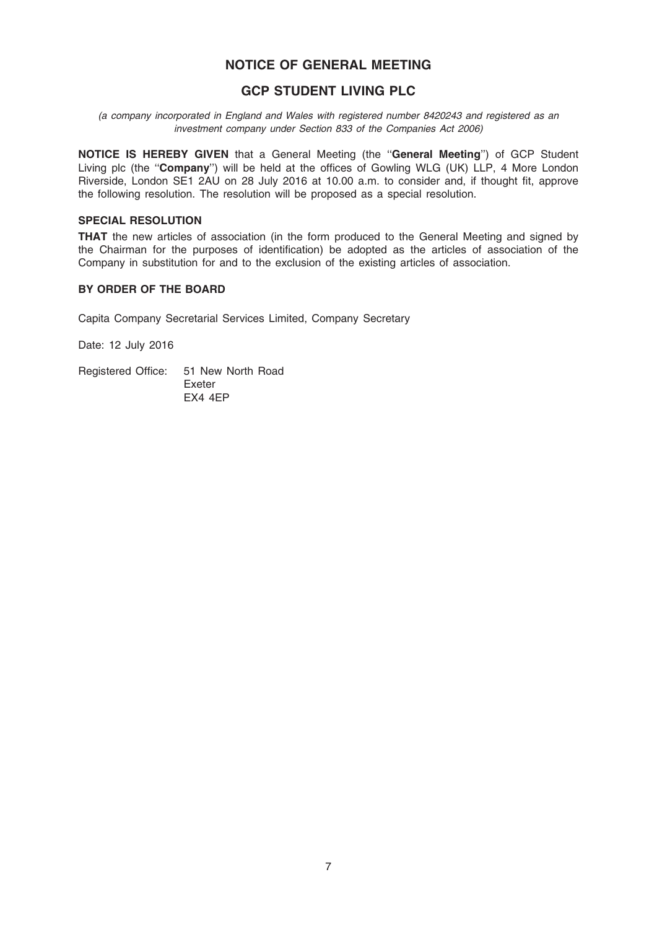## NOTICE OF GENERAL MEETING

## GCP STUDENT LIVING PLC

(a company incorporated in England and Wales with registered number 8420243 and registered as an investment company under Section 833 of the Companies Act 2006)

NOTICE IS HEREBY GIVEN that a General Meeting (the ''General Meeting'') of GCP Student Living plc (the "Company") will be held at the offices of Gowling WLG (UK) LLP, 4 More London Riverside, London SE1 2AU on 28 July 2016 at 10.00 a.m. to consider and, if thought fit, approve the following resolution. The resolution will be proposed as a special resolution.

#### SPECIAL RESOLUTION

THAT the new articles of association (in the form produced to the General Meeting and signed by the Chairman for the purposes of identification) be adopted as the articles of association of the Company in substitution for and to the exclusion of the existing articles of association.

### BY ORDER OF THE BOARD

Capita Company Secretarial Services Limited, Company Secretary

Date: 12 July 2016

Registered Office: 51 New North Road Exeter EX4 4EP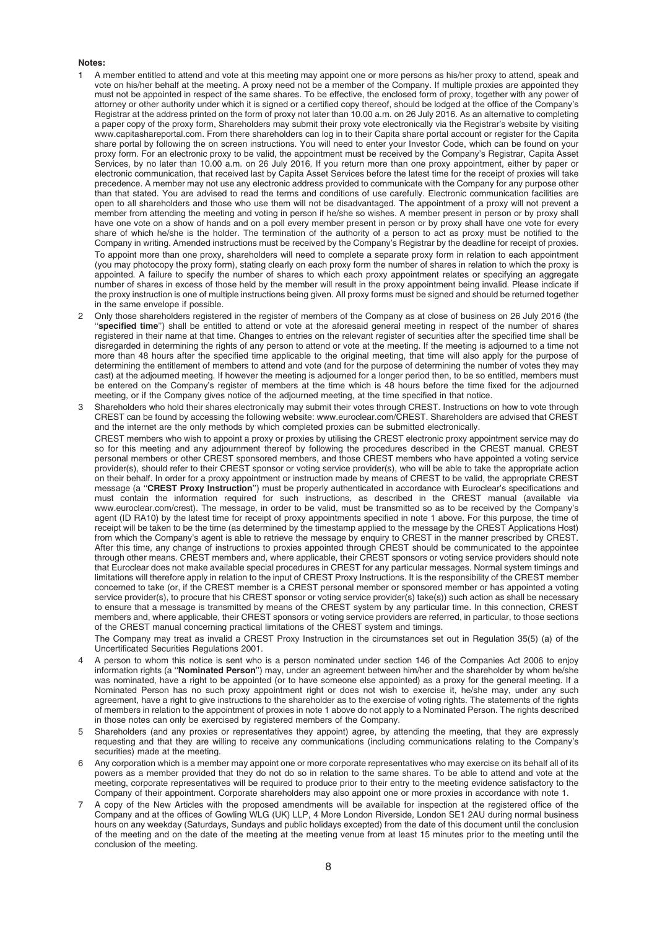#### Notes:

- 1 A member entitled to attend and vote at this meeting may appoint one or more persons as his/her proxy to attend, speak and vote on his/her behalf at the meeting. A proxy need not be a member of the Company. If multiple proxies are appointed they must not be appointed in respect of the same shares. To be effective, the enclosed form of proxy, together with any power of attorney or other authority under which it is signed or a certified copy thereof, should be lodged at the office of the Company's Registrar at the address printed on the form of proxy not later than 10.00 a.m. on 26 July 2016. As an alternative to completing a paper copy of the proxy form, Shareholders may submit their proxy vote electronically via the Registrar's website by visiting www.capitashareportal.com. From there shareholders can log in to their Capita share portal account or register for the Capita share portal by following the on screen instructions. You will need to enter your Investor Code, which can be found on your proxy form. For an electronic proxy to be valid, the appointment must be received by the Company's Registrar, Capita Asset Services, by no later than 10.00 a.m. on 26 July 2016. If you return more than one proxy appointment, either by paper or electronic communication, that received last by Capita Asset Services before the latest time for the receipt of proxies will take precedence. A member may not use any electronic address provided to communicate with the Company for any purpose other than that stated. You are advised to read the terms and conditions of use carefully. Electronic communication facilities are open to all shareholders and those who use them will not be disadvantaged. The appointment of a proxy will not prevent a member from attending the meeting and voting in person if he/she so wishes. A member present in person or by proxy shall have one vote on a show of hands and on a poll every member present in person or by proxy shall have one vote for every share of which he/she is the holder. The termination of the authority of a person to act as proxy must be notified to the Company in writing. Amended instructions must be received by the Company's Registrar by the deadline for receipt of proxies. To appoint more than one proxy, shareholders will need to complete a separate proxy form in relation to each appointment (you may photocopy the proxy form), stating clearly on each proxy form the number of shares in relation to which the proxy is appointed. A failure to specify the number of shares to which each proxy appointment relates or specifying an aggregate number of shares in excess of those held by the member will result in the proxy appointment being invalid. Please indicate if the proxy instruction is one of multiple instructions being given. All proxy forms must be signed and should be returned together in the same envelope if possible.
- 2 Only those shareholders registered in the register of members of the Company as at close of business on 26 July 2016 (the 'specified time'') shall be entitled to attend or vote at the aforesaid general meeting in respect of the number of shares registered in their name at that time. Changes to entries on the relevant register of securities after the specified time shall be disregarded in determining the rights of any person to attend or vote at the meeting. If the meeting is adjourned to a time not more than 48 hours after the specified time applicable to the original meeting, that time will also apply for the purpose of determining the entitlement of members to attend and vote (and for the purpose of determining the number of votes they may cast) at the adjourned meeting. If however the meeting is adjourned for a longer period then, to be so entitled, members must be entered on the Company's register of members at the time which is 48 hours before the time fixed for the adjourned meeting, or if the Company gives notice of the adjourned meeting, at the time specified in that notice.
- Shareholders who hold their shares electronically may submit their votes through CREST. Instructions on how to vote through CREST can be found by accessing the following website: www.euroclear.com/CREST. Shareholders are advised that CREST and the internet are the only methods by which completed proxies can be submitted electronically. CREST members who wish to appoint a proxy or proxies by utilising the CREST electronic proxy appointment service may do so for this meeting and any adjournment thereof by following the procedures described in the CREST manual. CREST personal members or other CREST sponsored members, and those CREST members who have appointed a voting service provider(s), should refer to their CREST sponsor or voting service provider(s), who will be able to take the appropriate action on their behalf. In order for a proxy appointment or instruction made by means of CREST to be valid, the appropriate CREST message (a "CREST Proxy Instruction") must be properly authenticated in accordance with Euroclear's specifications and must contain the information required for such instructions, as described in the CREST manual (available via www.euroclear.com/crest). The message, in order to be valid, must be transmitted so as to be received by the Company's agent (ID RA10) by the latest time for receipt of proxy appointments specified in note 1 above. For this purpose, the time of receipt will be taken to be the time (as determined by the timestamp applied to the message by the CREST Applications Host) from which the Company's agent is able to retrieve the message by enquiry to CREST in the manner prescribed by CREST. After this time, any change of instructions to proxies appointed through CREST should be communicated to the appointee through other means. CREST members and, where applicable, their CREST sponsors or voting service providers should note that Euroclear does not make available special procedures in CREST for any particular messages. Normal system timings and limitations will therefore apply in relation to the input of CREST Proxy Instructions. It is the responsibility of the CREST member concerned to take (or, if the CREST member is a CREST personal member or sponsored member or has appointed a voting service provider(s), to procure that his CREST sponsor or voting service provider(s) take(s)) such action as shall be necessary to ensure that a message is transmitted by means of the CREST system by any particular time. In this connection, CREST members and, where applicable, their CREST sponsors or voting service providers are referred, in particular, to those sections of the CREST manual concerning practical limitations of the CREST system and timings.

The Company may treat as invalid a CREST Proxy Instruction in the circumstances set out in Regulation 35(5) (a) of the Uncertificated Securities Regulations 2001.

- 4 A person to whom this notice is sent who is a person nominated under section 146 of the Companies Act 2006 to enjoy information rights (a ''Nominated Person'') may, under an agreement between him/her and the shareholder by whom he/she was nominated, have a right to be appointed (or to have someone else appointed) as a proxy for the general meeting. If a Nominated Person has no such proxy appointment right or does not wish to exercise it, he/she may, under any such agreement, have a right to give instructions to the shareholder as to the exercise of voting rights. The statements of the rights of members in relation to the appointment of proxies in note 1 above do not apply to a Nominated Person. The rights described in those notes can only be exercised by registered members of the Company.
- 5 Shareholders (and any proxies or representatives they appoint) agree, by attending the meeting, that they are expressly requesting and that they are willing to receive any communications (including communications relating to the Company's securities) made at the meeting.
- 6 Any corporation which is a member may appoint one or more corporate representatives who may exercise on its behalf all of its powers as a member provided that they do not do so in relation to the same shares. To be able to attend and vote at the meeting, corporate representatives will be required to produce prior to their entry to the meeting evidence satisfactory to the Company of their appointment. Corporate shareholders may also appoint one or more proxies in accordance with note 1.
- 7 A copy of the New Articles with the proposed amendments will be available for inspection at the registered office of the Company and at the offices of Gowling WLG (UK) LLP, 4 More London Riverside, London SE1 2AU during normal business hours on any weekday (Saturdays, Sundays and public holidays excepted) from the date of this document until the conclusion of the meeting and on the date of the meeting at the meeting venue from at least 15 minutes prior to the meeting until the conclusion of the meeting.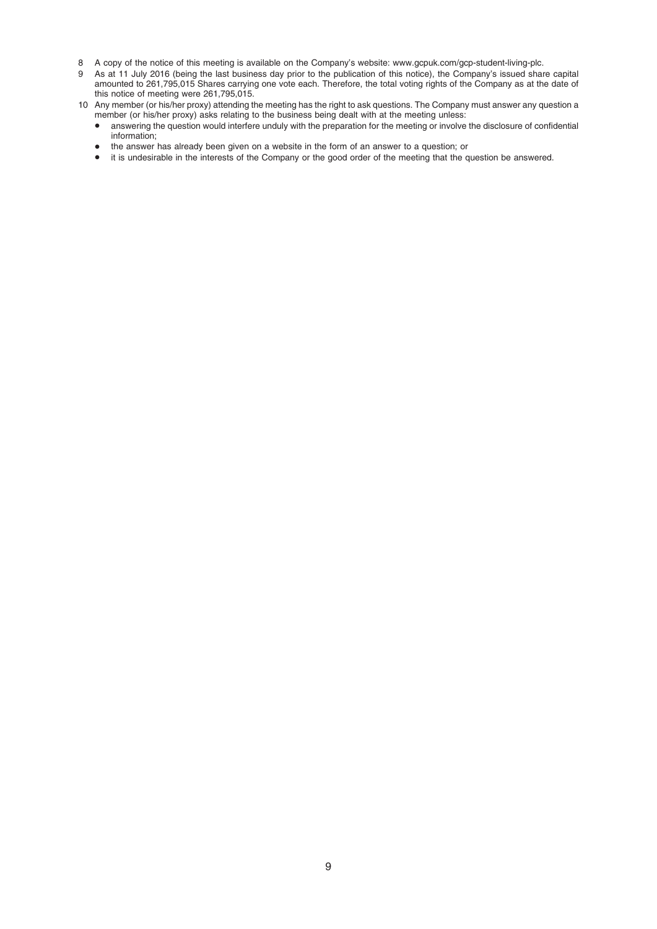- 8 A copy of the notice of this meeting is available on the Company's website: www.gcpuk.com/gcp-student-living-plc.
- 9 As at 11 July 2016 (being the last business day prior to the publication of this notice), the Company's issued share capital amounted to 261,795,015 Shares carrying one vote each. Therefore, the total voting rights of the Company as at the date of this notice of meeting were 261,795,015.
- 10 Any member (or his/her proxy) attending the meeting has the right to ask questions. The Company must answer any question a member (or his/her proxy) asks relating to the business being dealt with at the meeting unless:
	- answering the question would interfere unduly with the preparation for the meeting or involve the disclosure of confidential information;
	- \* the answer has already been given on a website in the form of an answer to a question; or
	- $\bullet$  it is undesirable in the interests of the Company or the good order of the meeting that the question be answered.